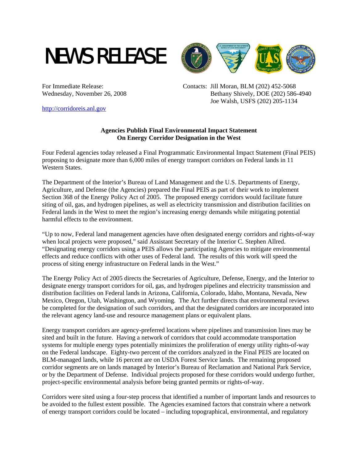



For Immediate Release: Contacts: Jill Moran, BLM (202) 452-5068 Wednesday, November 26, 2008 Bethany Shively, DOE (202) 586-4940 Joe Walsh, USFS (202) 205-1134

http://corridoreis.anl.gov

## **Agencies Publish Final Environmental Impact Statement On Energy Corridor Designation in the West**

Four Federal agencies today released a Final Programmatic Environmental Impact Statement (Final PEIS) proposing to designate more than 6,000 miles of energy transport corridors on Federal lands in 11 Western States.

The Department of the Interior's Bureau of Land Management and the U.S. Departments of Energy, Agriculture, and Defense (the Agencies) prepared the Final PEIS as part of their work to implement Section 368 of the Energy Policy Act of 2005. The proposed energy corridors would facilitate future siting of oil, gas, and hydrogen pipelines, as well as electricity transmission and distribution facilities on Federal lands in the West to meet the region's increasing energy demands while mitigating potential harmful effects to the environment.

"Up to now, Federal land management agencies have often designated energy corridors and rights-of-way when local projects were proposed," said Assistant Secretary of the Interior C. Stephen Allred. "Designating energy corridors using a PEIS allows the participating Agencies to mitigate environmental effects and reduce conflicts with other uses of Federal land. The results of this work will speed the process of siting energy infrastructure on Federal lands in the West."

The Energy Policy Act of 2005 directs the Secretaries of Agriculture, Defense, Energy, and the Interior to designate energy transport corridors for oil, gas, and hydrogen pipelines and electricity transmission and distribution facilities on Federal lands in Arizona, California, Colorado, Idaho, Montana, Nevada, New Mexico, Oregon, Utah, Washington, and Wyoming. The Act further directs that environmental reviews be completed for the designation of such corridors, and that the designated corridors are incorporated into the relevant agency land-use and resource management plans or equivalent plans.

Energy transport corridors are agency-preferred locations where pipelines and transmission lines may be sited and built in the future. Having a network of corridors that could accommodate transportation systems for multiple energy types potentially minimizes the proliferation of energy utility rights-of-way on the Federal landscape. Eighty-two percent of the corridors analyzed in the Final PEIS are located on BLM-managed lands, while 16 percent are on USDA Forest Service lands. The remaining proposed corridor segments are on lands managed by Interior's Bureau of Reclamation and National Park Service, or by the Department of Defense. Individual projects proposed for these corridors would undergo further, project-specific environmental analysis before being granted permits or rights-of-way.

Corridors were sited using a four-step process that identified a number of important lands and resources to be avoided to the fullest extent possible. The Agencies examined factors that constrain where a network of energy transport corridors could be located – including topographical, environmental, and regulatory